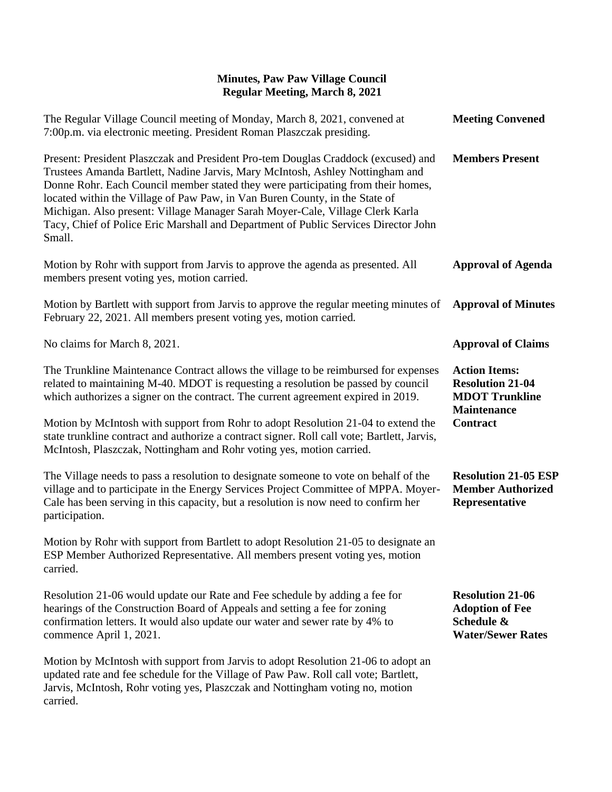| The Regular Village Council meeting of Monday, March 8, 2021, convened at<br>7:00p.m. via electronic meeting. President Roman Plaszczak presiding.                                                                                                                                                                                                                                                                                                                                                                      | <b>Meeting Convened</b>                                                                                    |
|-------------------------------------------------------------------------------------------------------------------------------------------------------------------------------------------------------------------------------------------------------------------------------------------------------------------------------------------------------------------------------------------------------------------------------------------------------------------------------------------------------------------------|------------------------------------------------------------------------------------------------------------|
| Present: President Plaszczak and President Pro-tem Douglas Craddock (excused) and<br>Trustees Amanda Bartlett, Nadine Jarvis, Mary McIntosh, Ashley Nottingham and<br>Donne Rohr. Each Council member stated they were participating from their homes,<br>located within the Village of Paw Paw, in Van Buren County, in the State of<br>Michigan. Also present: Village Manager Sarah Moyer-Cale, Village Clerk Karla<br>Tacy, Chief of Police Eric Marshall and Department of Public Services Director John<br>Small. | <b>Members Present</b>                                                                                     |
| Motion by Rohr with support from Jarvis to approve the agenda as presented. All<br>members present voting yes, motion carried.                                                                                                                                                                                                                                                                                                                                                                                          | <b>Approval of Agenda</b>                                                                                  |
| Motion by Bartlett with support from Jarvis to approve the regular meeting minutes of<br>February 22, 2021. All members present voting yes, motion carried.                                                                                                                                                                                                                                                                                                                                                             | <b>Approval of Minutes</b>                                                                                 |
| No claims for March 8, 2021.                                                                                                                                                                                                                                                                                                                                                                                                                                                                                            | <b>Approval of Claims</b>                                                                                  |
| The Trunkline Maintenance Contract allows the village to be reimbursed for expenses<br>related to maintaining M-40. MDOT is requesting a resolution be passed by council<br>which authorizes a signer on the contract. The current agreement expired in 2019.                                                                                                                                                                                                                                                           | <b>Action Items:</b><br><b>Resolution 21-04</b><br><b>MDOT Trunkline</b><br><b>Maintenance</b><br>Contract |
| Motion by McIntosh with support from Rohr to adopt Resolution 21-04 to extend the<br>state trunkline contract and authorize a contract signer. Roll call vote; Bartlett, Jarvis,<br>McIntosh, Plaszczak, Nottingham and Rohr voting yes, motion carried.                                                                                                                                                                                                                                                                |                                                                                                            |
| The Village needs to pass a resolution to designate someone to vote on behalf of the<br>village and to participate in the Energy Services Project Committee of MPPA. Moyer-<br>Cale has been serving in this capacity, but a resolution is now need to confirm her<br>participation.                                                                                                                                                                                                                                    | <b>Resolution 21-05 ESP</b><br><b>Member Authorized</b><br>Representative                                  |
| Motion by Rohr with support from Bartlett to adopt Resolution 21-05 to designate an<br>ESP Member Authorized Representative. All members present voting yes, motion<br>carried.                                                                                                                                                                                                                                                                                                                                         |                                                                                                            |
| Resolution 21-06 would update our Rate and Fee schedule by adding a fee for<br>hearings of the Construction Board of Appeals and setting a fee for zoning<br>confirmation letters. It would also update our water and sewer rate by 4% to<br>commence April 1, 2021.                                                                                                                                                                                                                                                    | <b>Resolution 21-06</b><br><b>Adoption of Fee</b><br>Schedule &<br><b>Water/Sewer Rates</b>                |
| Motion by McIntosh with support from Jarvis to adopt Resolution 21-06 to adopt an<br>updated rate and fee schedule for the Village of Paw Paw. Roll call vote; Bartlett,<br>Jarvis, McIntosh, Rohr voting yes, Plaszczak and Nottingham voting no, motion<br>carried.                                                                                                                                                                                                                                                   |                                                                                                            |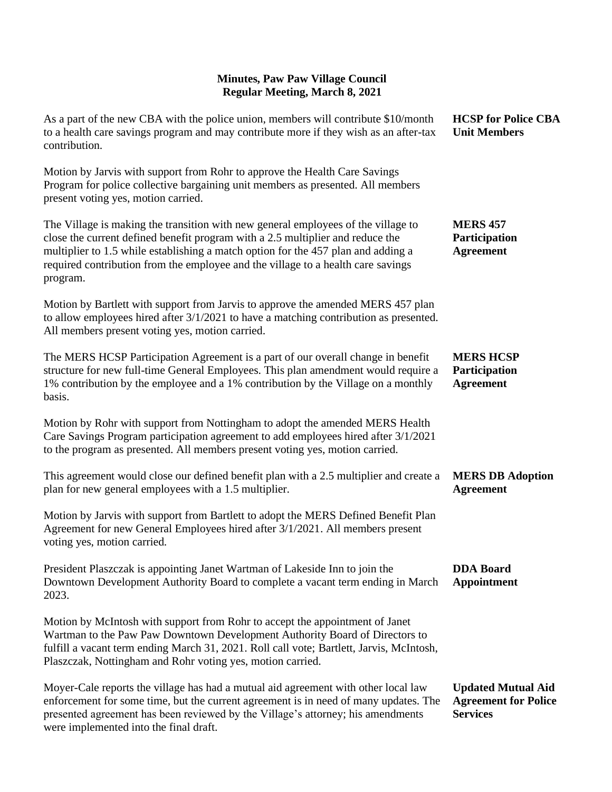| As a part of the new CBA with the police union, members will contribute \$10/month<br>to a health care savings program and may contribute more if they wish as an after-tax<br>contribution.                                                                                                                                                             | <b>HCSP</b> for Police CBA<br><b>Unit Members</b>                           |
|----------------------------------------------------------------------------------------------------------------------------------------------------------------------------------------------------------------------------------------------------------------------------------------------------------------------------------------------------------|-----------------------------------------------------------------------------|
| Motion by Jarvis with support from Rohr to approve the Health Care Savings<br>Program for police collective bargaining unit members as presented. All members<br>present voting yes, motion carried.                                                                                                                                                     |                                                                             |
| The Village is making the transition with new general employees of the village to<br>close the current defined benefit program with a 2.5 multiplier and reduce the<br>multiplier to 1.5 while establishing a match option for the 457 plan and adding a<br>required contribution from the employee and the village to a health care savings<br>program. | <b>MERS 457</b><br>Participation<br><b>Agreement</b>                        |
| Motion by Bartlett with support from Jarvis to approve the amended MERS 457 plan<br>to allow employees hired after 3/1/2021 to have a matching contribution as presented.<br>All members present voting yes, motion carried.                                                                                                                             |                                                                             |
| The MERS HCSP Participation Agreement is a part of our overall change in benefit<br>structure for new full-time General Employees. This plan amendment would require a<br>1% contribution by the employee and a 1% contribution by the Village on a monthly<br>basis.                                                                                    | <b>MERS HCSP</b><br>Participation<br><b>Agreement</b>                       |
| Motion by Rohr with support from Nottingham to adopt the amended MERS Health<br>Care Savings Program participation agreement to add employees hired after 3/1/2021<br>to the program as presented. All members present voting yes, motion carried.                                                                                                       |                                                                             |
| This agreement would close our defined benefit plan with a 2.5 multiplier and create a<br>plan for new general employees with a 1.5 multiplier.                                                                                                                                                                                                          | <b>MERS DB Adoption</b><br><b>Agreement</b>                                 |
| Motion by Jarvis with support from Bartlett to adopt the MERS Defined Benefit Plan<br>Agreement for new General Employees hired after 3/1/2021. All members present<br>voting yes, motion carried.                                                                                                                                                       |                                                                             |
| President Plaszczak is appointing Janet Wartman of Lakeside Inn to join the<br>Downtown Development Authority Board to complete a vacant term ending in March<br>2023.                                                                                                                                                                                   | <b>DDA</b> Board<br><b>Appointment</b>                                      |
| Motion by McIntosh with support from Rohr to accept the appointment of Janet<br>Wartman to the Paw Paw Downtown Development Authority Board of Directors to<br>fulfill a vacant term ending March 31, 2021. Roll call vote; Bartlett, Jarvis, McIntosh,<br>Plaszczak, Nottingham and Rohr voting yes, motion carried.                                    |                                                                             |
| Moyer-Cale reports the village has had a mutual aid agreement with other local law<br>enforcement for some time, but the current agreement is in need of many updates. The<br>presented agreement has been reviewed by the Village's attorney; his amendments                                                                                            | <b>Updated Mutual Aid</b><br><b>Agreement for Police</b><br><b>Services</b> |

were implemented into the final draft.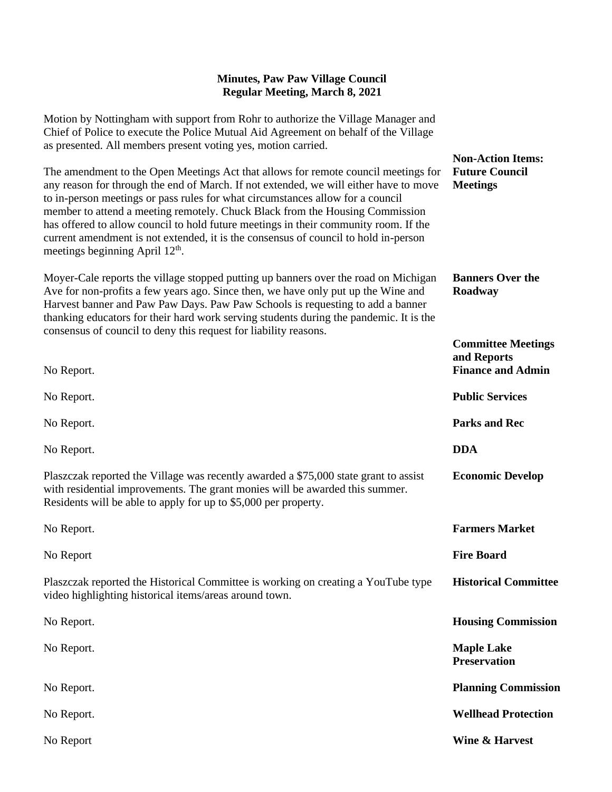Motion by Nottingham with support from Rohr to authorize the Village Manager and Chief of Police to execute the Police Mutual Aid Agreement on behalf of the Village as presented. All members present voting yes, motion carried.

| $\alpha$ , $\alpha$ , $\alpha$ , $\alpha$ , $\alpha$ , $\alpha$ , $\alpha$ , $\alpha$ , $\alpha$ , $\alpha$ , $\alpha$ , $\alpha$ , $\alpha$ , $\alpha$ , $\alpha$ , $\alpha$ , $\alpha$ , $\alpha$ , $\alpha$ , $\alpha$ , $\alpha$ , $\alpha$ , $\alpha$ , $\alpha$ , $\alpha$ , $\alpha$ , $\alpha$ , $\alpha$ , $\alpha$ , $\alpha$ , $\alpha$ , $\alpha$ , $\alpha$ , $\alpha$ , $\alpha$ , $\alpha$ , $\alpha$ ,                                                                                                                                                      |                                                                      |
|-----------------------------------------------------------------------------------------------------------------------------------------------------------------------------------------------------------------------------------------------------------------------------------------------------------------------------------------------------------------------------------------------------------------------------------------------------------------------------------------------------------------------------------------------------------------------------|----------------------------------------------------------------------|
| The amendment to the Open Meetings Act that allows for remote council meetings for<br>any reason for through the end of March. If not extended, we will either have to move<br>to in-person meetings or pass rules for what circumstances allow for a council<br>member to attend a meeting remotely. Chuck Black from the Housing Commission<br>has offered to allow council to hold future meetings in their community room. If the<br>current amendment is not extended, it is the consensus of council to hold in-person<br>meetings beginning April 12 <sup>th</sup> . | <b>Non-Action Items:</b><br><b>Future Council</b><br><b>Meetings</b> |
| Moyer-Cale reports the village stopped putting up banners over the road on Michigan<br>Ave for non-profits a few years ago. Since then, we have only put up the Wine and<br>Harvest banner and Paw Paw Days. Paw Paw Schools is requesting to add a banner<br>thanking educators for their hard work serving students during the pandemic. It is the<br>consensus of council to deny this request for liability reasons.                                                                                                                                                    | <b>Banners Over the</b><br>Roadway                                   |
|                                                                                                                                                                                                                                                                                                                                                                                                                                                                                                                                                                             | <b>Committee Meetings</b><br>and Reports                             |
| No Report.                                                                                                                                                                                                                                                                                                                                                                                                                                                                                                                                                                  | <b>Finance and Admin</b>                                             |
| No Report.                                                                                                                                                                                                                                                                                                                                                                                                                                                                                                                                                                  | <b>Public Services</b>                                               |
| No Report.                                                                                                                                                                                                                                                                                                                                                                                                                                                                                                                                                                  | <b>Parks and Rec</b>                                                 |
| No Report.                                                                                                                                                                                                                                                                                                                                                                                                                                                                                                                                                                  | <b>DDA</b>                                                           |
| Plaszczak reported the Village was recently awarded a \$75,000 state grant to assist<br>with residential improvements. The grant monies will be awarded this summer.<br>Residents will be able to apply for up to \$5,000 per property.                                                                                                                                                                                                                                                                                                                                     | <b>Economic Develop</b>                                              |
| No Report.                                                                                                                                                                                                                                                                                                                                                                                                                                                                                                                                                                  | <b>Farmers Market</b>                                                |
| No Report                                                                                                                                                                                                                                                                                                                                                                                                                                                                                                                                                                   | <b>Fire Board</b>                                                    |
| Plaszczak reported the Historical Committee is working on creating a YouTube type<br>video highlighting historical items/areas around town.                                                                                                                                                                                                                                                                                                                                                                                                                                 | <b>Historical Committee</b>                                          |
| No Report.                                                                                                                                                                                                                                                                                                                                                                                                                                                                                                                                                                  | <b>Housing Commission</b>                                            |
| No Report.                                                                                                                                                                                                                                                                                                                                                                                                                                                                                                                                                                  | <b>Maple Lake</b><br><b>Preservation</b>                             |
| No Report.                                                                                                                                                                                                                                                                                                                                                                                                                                                                                                                                                                  | <b>Planning Commission</b>                                           |
| No Report.                                                                                                                                                                                                                                                                                                                                                                                                                                                                                                                                                                  | <b>Wellhead Protection</b>                                           |
| No Report                                                                                                                                                                                                                                                                                                                                                                                                                                                                                                                                                                   | <b>Wine &amp; Harvest</b>                                            |
|                                                                                                                                                                                                                                                                                                                                                                                                                                                                                                                                                                             |                                                                      |